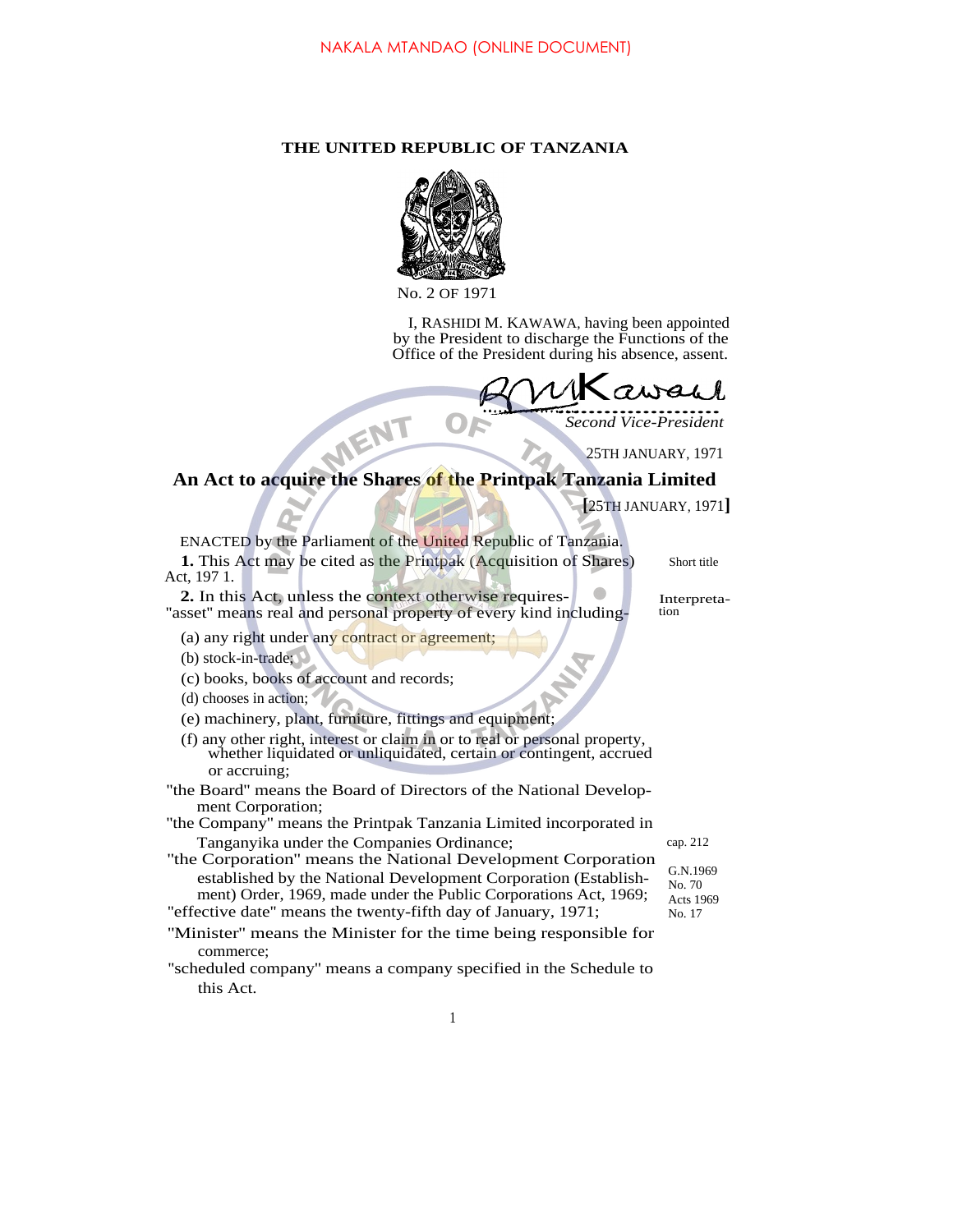## **THE UNITED REPUBLIC OF TANZANIA**



No. 2 OF 1971

I, RASHIDI M. KAWAWA, having been appointed by the President to discharge the Functions of the Office of the President during his absence, assent.

*K Second Vice-President* **.....................** ) E

25TH JANUARY, 1971

## External Second Vice-President 25TH JANUARY, 1971.<br> **An Act to acquire the Shares of the Printpak Tanzania Limited**

**[**25TH JANUARY, 1971**]**

| ENACTED by the Parliament of the United Republic of Tanzania.                                                                                                                                       |                                 |
|-----------------------------------------------------------------------------------------------------------------------------------------------------------------------------------------------------|---------------------------------|
| 1. This Act may be cited as the Printpak (Acquisition of Shares)<br>Act, 197 1.                                                                                                                     | Short title                     |
| <b>2.</b> In this Act, unless the context otherwise requires-<br>"asset" means real and personal property of every kind including-                                                                  | Interpreta-<br>tion             |
| (a) any right under any contract or agreement;<br>$(b)$ stock-in-trade;<br>(c) books, books of account and records;                                                                                 |                                 |
| (d) chooses in action;                                                                                                                                                                              |                                 |
| (e) machinery, plant, furniture, fittings and equipment;                                                                                                                                            |                                 |
| (f) any other right, interest or claim in or to real or personal property,<br>whether liquidated or unliquidated, certain or contingent, accrued                                                    |                                 |
| or accruing;                                                                                                                                                                                        |                                 |
| "the Board" means the Board of Directors of the National Develop-<br>ment Corporation;                                                                                                              |                                 |
| "the Company" means the Printpak Tanzania Limited incorporated in                                                                                                                                   |                                 |
| Tanganyika under the Companies Ordinance;                                                                                                                                                           | cap. 212                        |
| "the Corporation" means the National Development Corporation<br>established by the National Development Corporation (Establish-<br>ment) Order, 1969, made under the Public Corporations Act, 1969; | G.N.1969<br>No. 70<br>Acts 1969 |
| "effective date" means the twenty-fifth day of January, 1971;                                                                                                                                       | No. 17                          |
| "Minister" means the Minister for the time being responsible for<br>commerce:                                                                                                                       |                                 |
| "cohechiled component" meerse e componer specified in the Rehedule to                                                                                                                               |                                 |

'scheduled company'' means a company specified in the Schedule to this Act.

1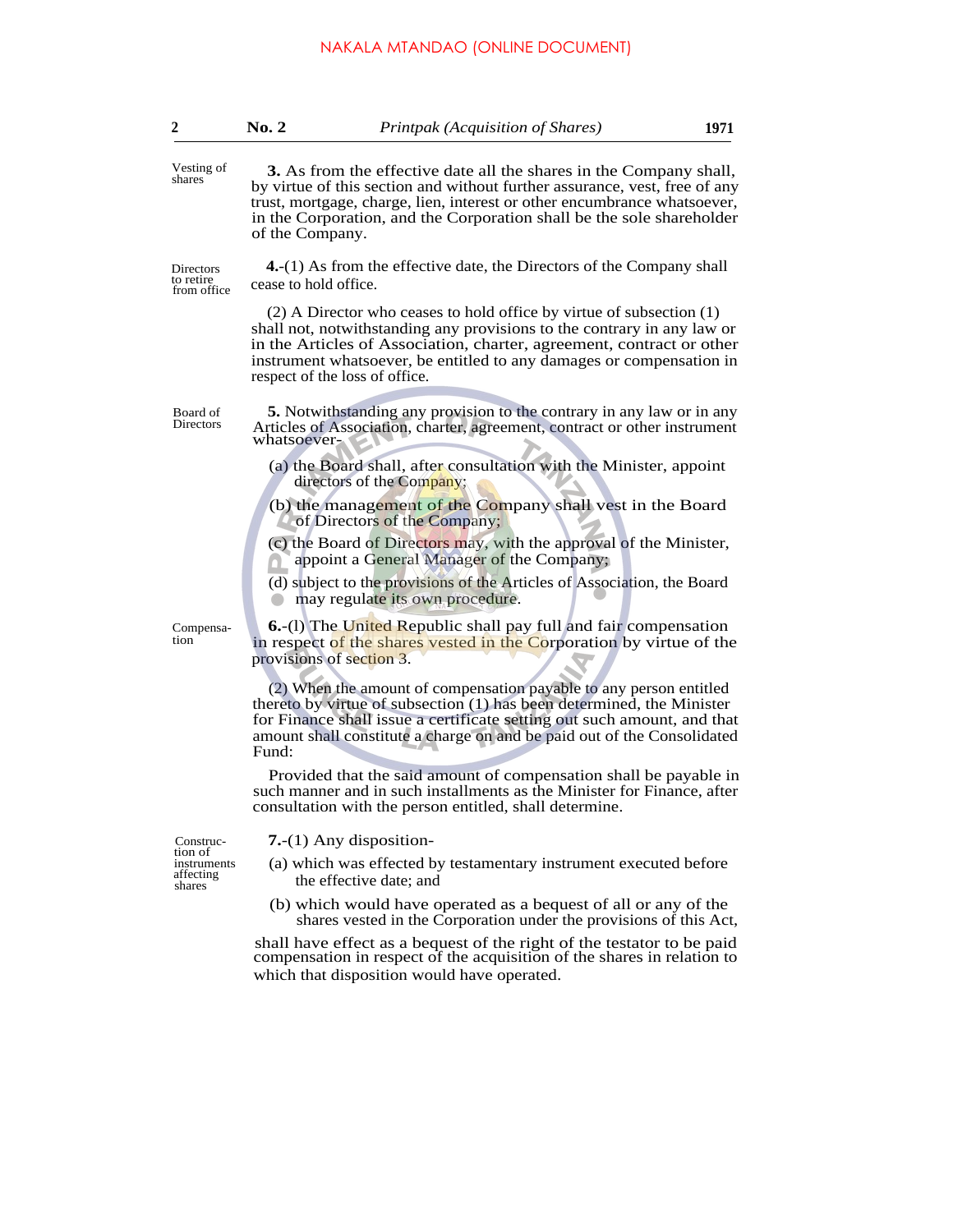| $\overline{2}$                                             | No. 2                                                                                                                                                                                                                                                                                                                                  | <i>Printpak (Acquisition of Shares)</i>                                                                                                                                                                                                                                                           | 1971 |  |
|------------------------------------------------------------|----------------------------------------------------------------------------------------------------------------------------------------------------------------------------------------------------------------------------------------------------------------------------------------------------------------------------------------|---------------------------------------------------------------------------------------------------------------------------------------------------------------------------------------------------------------------------------------------------------------------------------------------------|------|--|
| Vesting of<br>shares                                       | 3. As from the effective date all the shares in the Company shall,<br>by virtue of this section and without further assurance, vest, free of any<br>trust, mortgage, charge, lien, interest or other encumbrance whatsoever,<br>in the Corporation, and the Corporation shall be the sole shareholder<br>of the Company.               |                                                                                                                                                                                                                                                                                                   |      |  |
| Directors<br>to retire<br>from office                      | cease to hold office.                                                                                                                                                                                                                                                                                                                  | $4.$ (1) As from the effective date, the Directors of the Company shall                                                                                                                                                                                                                           |      |  |
|                                                            | $(2)$ A Director who ceases to hold office by virtue of subsection $(1)$<br>shall not, notwithstanding any provisions to the contrary in any law or<br>in the Articles of Association, charter, agreement, contract or other<br>instrument whatsoever, be entitled to any damages or compensation in<br>respect of the loss of office. |                                                                                                                                                                                                                                                                                                   |      |  |
| Board of<br>Directors                                      | whatsoever-                                                                                                                                                                                                                                                                                                                            | 5. Notwithstanding any provision to the contrary in any law or in any<br>Articles of Association, charter, agreement, contract or other instrument                                                                                                                                                |      |  |
|                                                            |                                                                                                                                                                                                                                                                                                                                        | (a) the Board shall, after consultation with the Minister, appoint<br>directors of the Company;                                                                                                                                                                                                   |      |  |
|                                                            |                                                                                                                                                                                                                                                                                                                                        | (b) the management of the Company shall vest in the Board<br>of Directors of the Company;                                                                                                                                                                                                         |      |  |
|                                                            |                                                                                                                                                                                                                                                                                                                                        | (c) the Board of Directors may, with the approval of the Minister,<br>appoint a General Manager of the Company;                                                                                                                                                                                   |      |  |
|                                                            |                                                                                                                                                                                                                                                                                                                                        | (d) subject to the provisions of the Articles of Association, the Board<br>may regulate its own procedure.                                                                                                                                                                                        |      |  |
| Compensa-<br>tion                                          | provisions of section 3.                                                                                                                                                                                                                                                                                                               | <b>6.</b> -(1) The United Republic shall pay full and fair compensation<br>in respect of the shares vested in the Corporation by virtue of the                                                                                                                                                    |      |  |
|                                                            | Fund:                                                                                                                                                                                                                                                                                                                                  | (2) When the amount of compensation payable to any person entitled<br>thereto by virtue of subsection (1) has been determined, the Minister<br>for Finance shall issue a certificate setting out such amount, and that<br>amount shall constitute a charge on and be paid out of the Consolidated |      |  |
|                                                            |                                                                                                                                                                                                                                                                                                                                        | Provided that the said amount of compensation shall be payable in<br>such manner and in such installments as the Minister for Finance, after<br>consultation with the person entitled, shall determine.                                                                                           |      |  |
| Construc-<br>tion of<br>instruments<br>affecting<br>shares |                                                                                                                                                                                                                                                                                                                                        | $7-(1)$ Any disposition-                                                                                                                                                                                                                                                                          |      |  |
|                                                            |                                                                                                                                                                                                                                                                                                                                        | (a) which was effected by testamentary instrument executed before<br>the effective date; and                                                                                                                                                                                                      |      |  |
|                                                            |                                                                                                                                                                                                                                                                                                                                        | (b) which would have operated as a bequest of all or any of the<br>shares vested in the Corporation under the provisions of this Act,                                                                                                                                                             |      |  |

shall have effect as a bequest of the right of the testator to be paid compensation in respect of the acquisition of the shares in relation to which that disposition would have operated.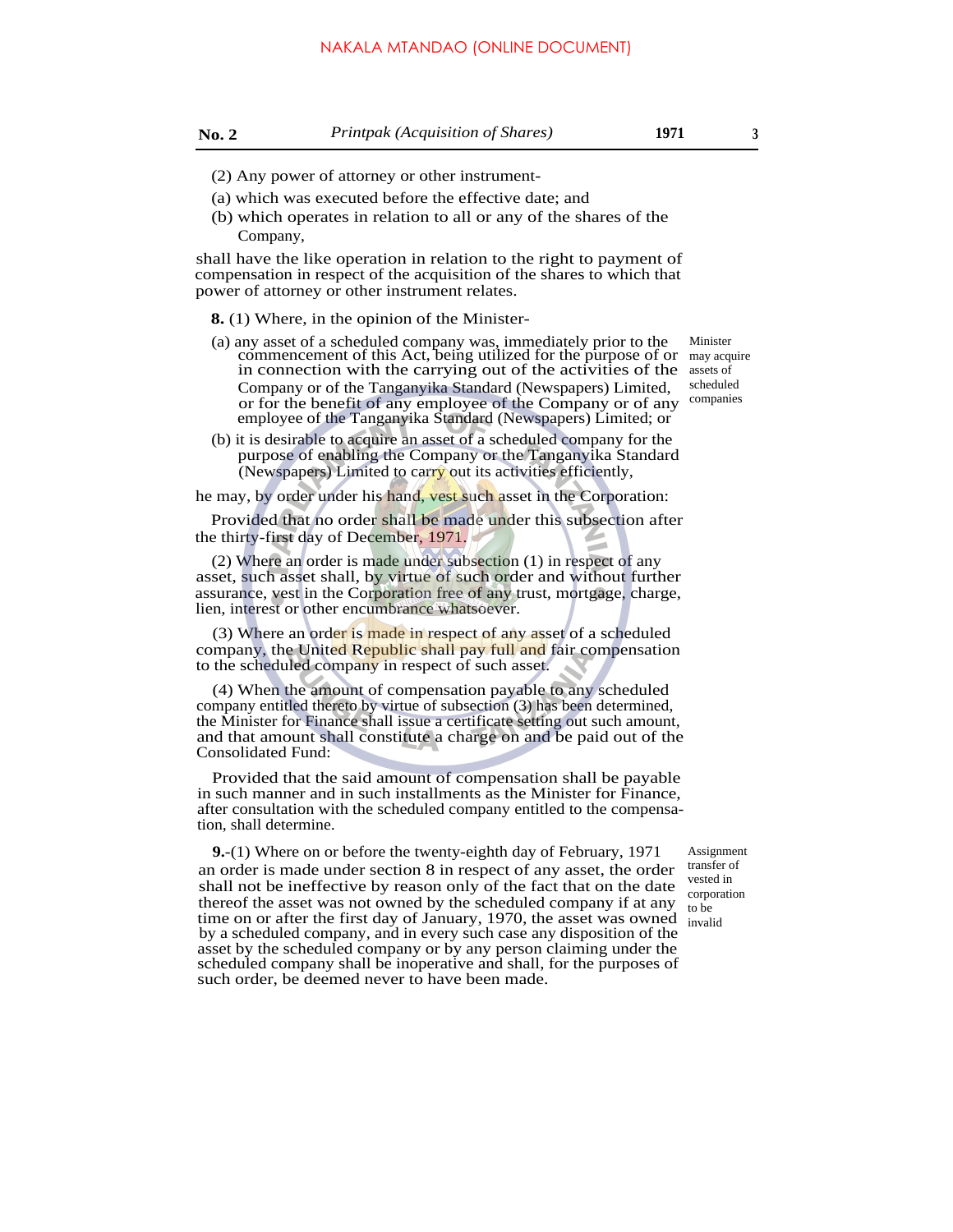- (2) Any power of attorney or other instrument-
- (a) which was executed before the effective date; and
- (b) which operates in relation to all or any of the shares of the Company,

shall have the like operation in relation to the right to payment of compensation in respect of the acquisition of the shares to which that power of attorney or other instrument relates.

**8.** (1) Where, in the opinion of the Minister-

- (a) any asset of a scheduled company was, immediately prior to the commencement of this Act, being utilized for the purpose of or may acquire in connection with the carrying out of the activities of the assets of Company or of the Tanganyika Standard (Newspapers) Limited, or for the benefit of any employee of the Company or of any companies employee of the Tanganyika Standard (Newspapers) Limited; or
- (b) it is desirable to acquire an asset of a scheduled company for the purpose of enabling the Company or the Tanganyika Standard (Newspapers) Limited to carry out its activities efficiently,

he may, by order under his hand, vest such asset in the Corporation:

Provided that no order shall be made under this subsection after the thirty-first day of December, 1971.

(2) Where an order is made under subsection (1) in respect of any asset, such asset shall, by virtue of such order and without further assurance, vest in the Corporation free of any trust, mortgage, charge, lien, interest or other encumbrance whatsoever.

(3) Where an order is made in respect of any asset of a scheduled company, the United Republic shall pay full and fair compensation to the scheduled company in respect of such asset.

(4) When the amount of compensation payable to any scheduled company entitled thereto by virtue of subsection (3) has been determined, the Minister for Finance shall issue a certificate setting out such amount, and that amount shall constitute a charge on and be paid out of the Consolidated Fund:

Provided that the said amount of compensation shall be payable in such manner and in such installments as the Minister for Finance, after consultation with the scheduled company entitled to the compensation, shall determine.

**9.**-(1) Where on or before the twenty-eighth day of February, 1971 an order is made under section 8 in respect of any asset, the order shall not be ineffective by reason only of the fact that on the date thereof the asset was not owned by the scheduled company if at any time on or after the first day of January, 1970, the asset was owned by a scheduled company, and in every such case any disposition of the asset by the scheduled company or by any person claiming under the scheduled company shall be inoperative and shall, for the purposes of such order, be deemed never to have been made.

Minister scheduled

Assignment transfer of vested in corporation to be invalid